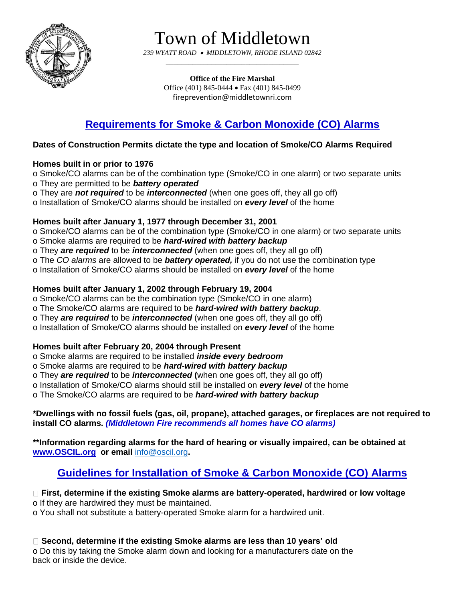

Town of Middletown

*239 WYATT ROAD MIDDLETOWN, RHODE ISLAND 02842 \_\_\_\_\_\_\_\_\_\_\_\_\_\_\_\_\_\_\_\_\_\_\_\_\_\_\_\_\_\_\_\_\_\_\_*

> **Office of the Fire Marshal** Office (401) 845-0444 Fax (401) 845-0499 fireprevention@middletownri.com

# **Requirements for Smoke & Carbon Monoxide (CO) Alarms**

# **Dates of Construction Permits dictate the type and location of Smoke/CO Alarms Required**

# **Homes built in or prior to 1976**

o Smoke/CO alarms can be of the combination type (Smoke/CO in one alarm) or two separate units o They are permitted to be *battery operated*

o They are *not required* to be *interconnected* (when one goes off, they all go off)

o Installation of Smoke/CO alarms should be installed on *every level* of the home

# **Homes built after January 1, 1977 through December 31, 2001**

o Smoke/CO alarms can be of the combination type (Smoke/CO in one alarm) or two separate units

o Smoke alarms are required to be *hard-wired with battery backup*

o They *are required* to be *interconnected* (when one goes off, they all go off)

o The *CO alarms* are allowed to be *battery operated,* if you do not use the combination type

o Installation of Smoke/CO alarms should be installed on *every level* of the home

# **Homes built after January 1, 2002 through February 19, 2004**

o Smoke/CO alarms can be the combination type (Smoke/CO in one alarm)

o The Smoke/CO alarms are required to be *hard-wired with battery backup*.

o They *are required* to be *interconnected* (when one goes off, they all go off)

o Installation of Smoke/CO alarms should be installed on *every level* of the home

# **Homes built after February 20, 2004 through Present**

o Smoke alarms are required to be installed *inside every bedroom*

o Smoke alarms are required to be *hard-wired with battery backup*

o They *are required* to be *interconnected* **(**when one goes off, they all go off)

o Installation of Smoke/CO alarms should still be installed on *every level* of the home

o The Smoke/CO alarms are required to be *hard-wired with battery backup*

**\*Dwellings with no fossil fuels (gas, oil, propane), attached garages, or fireplaces are not required to install CO alarms.** *(Middletown Fire recommends all homes have CO alarms)*

**\*\*Information regarding alarms for the hard of hearing or visually impaired, can be obtained at [www.OSCIL.org](http://www.oscil.org/) or email** [info@oscil.org](mailto:info@oscil.org)**.**

# **Guidelines for Installation of Smoke & Carbon Monoxide (CO) Alarms**

#### **First, determine if the existing Smoke alarms are battery-operated, hardwired or low voltage** o If they are hardwired they must be maintained.

o You shall not substitute a battery-operated Smoke alarm for a hardwired unit.

**Second, determine if the existing Smoke alarms are less than 10 years' old**

o Do this by taking the Smoke alarm down and looking for a manufacturers date on the back or inside the device.